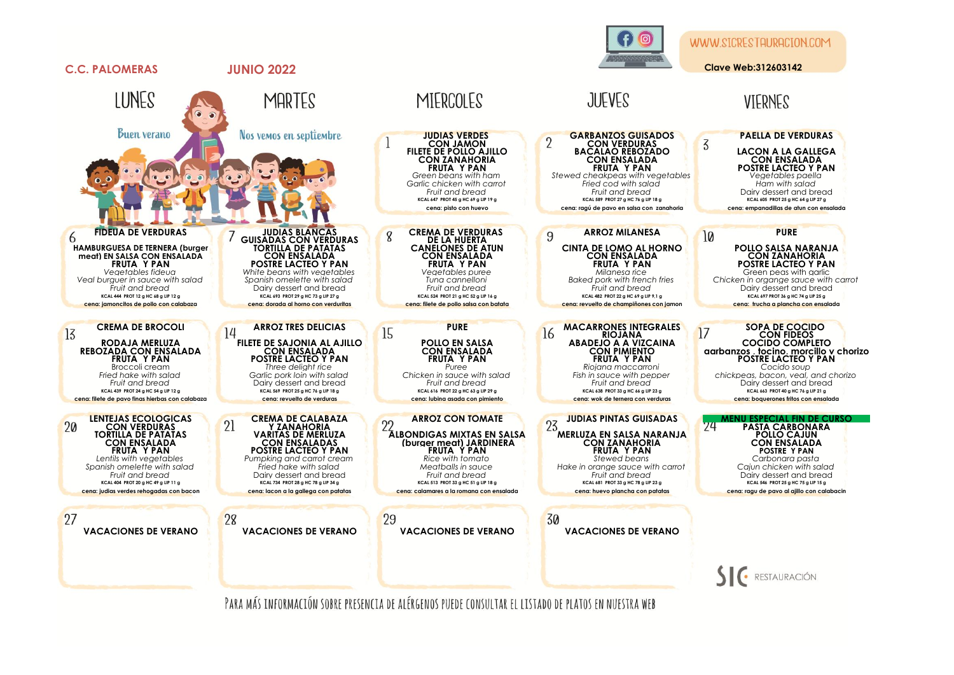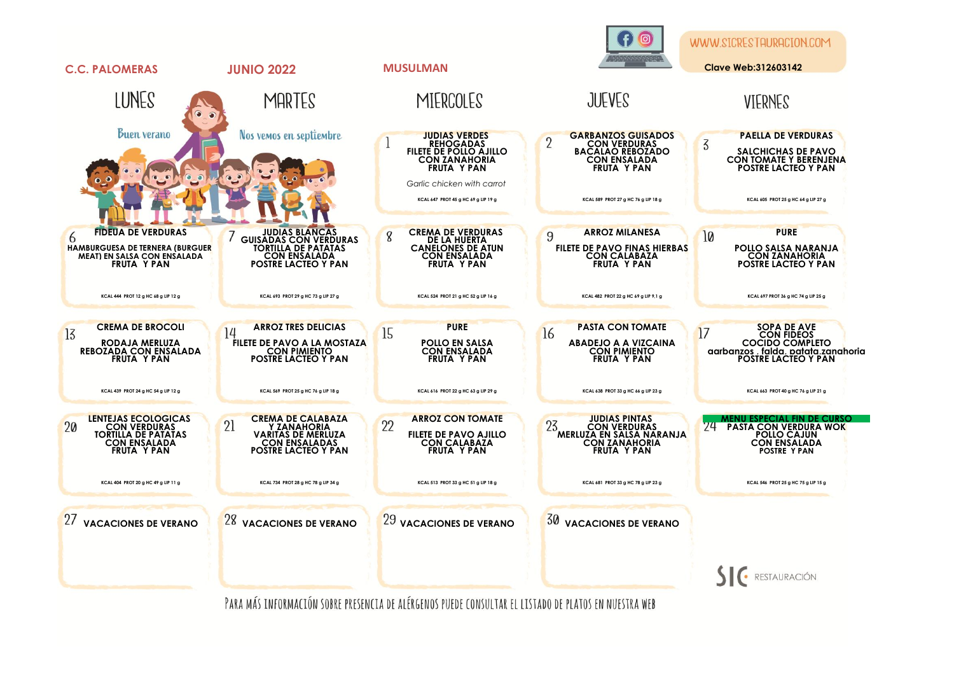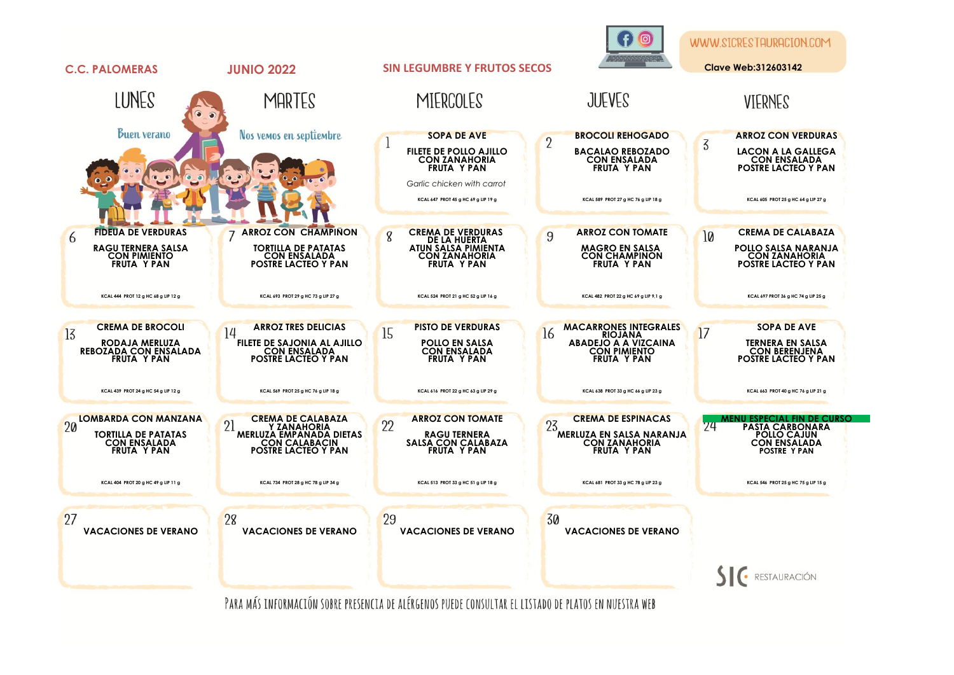